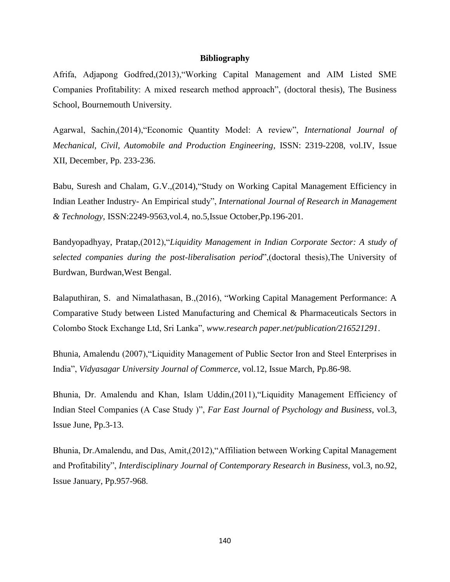## **Bibliography**

Afrifa, Adjapong Godfred,(2013),"Working Capital Management and AIM Listed SME Companies Profitability: A mixed research method approach", (doctoral thesis), The Business School, Bournemouth University.

Agarwal, Sachin,(2014),"Economic Quantity Model: A review", *International Journal of Mechanical, Civil, Automobile and Production Engineering*, ISSN: 2319-2208, vol.IV, Issue XII, December, Pp. 233-236.

Babu, Suresh and Chalam, G.V.,(2014),"Study on Working Capital Management Efficiency in Indian Leather Industry- An Empirical study", *International Journal of Research in Management & Technology*, ISSN:2249-9563,vol.4, no.5,Issue October,Pp.196-201.

Bandyopadhyay, Pratap,(2012),"*Liquidity Management in Indian Corporate Sector: A study of selected companies during the post-liberalisation period*",(doctoral thesis),The University of Burdwan, Burdwan,West Bengal.

Balaputhiran, S. and Nimalathasan, B.,(2016), "Working Capital Management Performance: A Comparative Study between Listed Manufacturing and Chemical & Pharmaceuticals Sectors in Colombo Stock Exchange Ltd, Sri Lanka", *www.research paper.net/publication/216521291*.

Bhunia, Amalendu (2007),"Liquidity Management of Public Sector Iron and Steel Enterprises in India", *Vidyasagar University Journal of Commerce*, vol.12, Issue March, Pp.86-98.

Bhunia, Dr. Amalendu and Khan, Islam Uddin,(2011),"Liquidity Management Efficiency of Indian Steel Companies (A Case Study )", *Far East Journal of Psychology and Business*, vol.3, Issue June, Pp.3-13.

Bhunia, Dr.Amalendu, and Das, Amit,(2012),"Affiliation between Working Capital Management and Profitability", *Interdisciplinary Journal of Contemporary Research in Business*, vol.3, no.92, Issue January, Pp.957-968.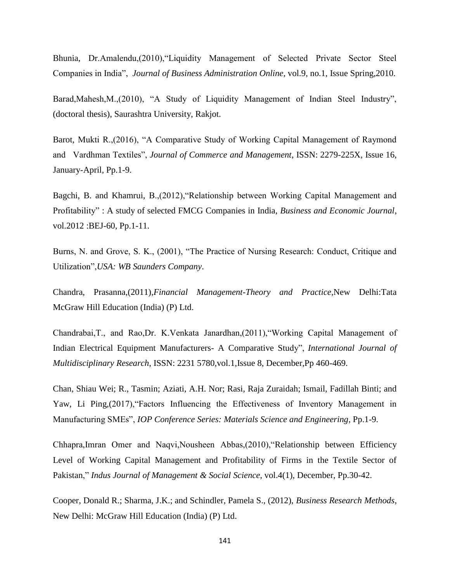Bhunia, Dr.Amalendu,(2010),"Liquidity Management of Selected Private Sector Steel Companies in India", *Journal of Business Administration Online*, vol.9, no.1, Issue Spring,2010.

Barad,Mahesh,M.,(2010), "A Study of Liquidity Management of Indian Steel Industry", (doctoral thesis), Saurashtra University, Rakjot.

Barot, Mukti R.,(2016), "A Comparative Study of Working Capital Management of Raymond and Vardhman Textiles", *Journal of Commerce and Management*, ISSN: 2279-225X, Issue 16, January-April, Pp.1-9.

Bagchi, B. and Khamrui, B.,(2012),"Relationship between Working Capital Management and Profitability" : A study of selected FMCG Companies in India, *Business and Economic Journal*, vol.2012 :BEJ-60, Pp.1-11.

Burns, N. and Grove, S. K., (2001), "The Practice of Nursing Research: Conduct, Critique and Utilization",*USA: WB Saunders Company*.

Chandra, Prasanna,(2011),*Financial Management-Theory and Practice*,New Delhi:Tata McGraw Hill Education (India) (P) Ltd.

Chandrabai,T., and Rao,Dr. K.Venkata Janardhan,(2011),"Working Capital Management of Indian Electrical Equipment Manufacturers- A Comparative Study", *International Journal of Multidisciplinary Research*, ISSN: 2231 5780,vol.1,Issue 8, December,Pp 460-469.

Chan, Shiau Wei; R., Tasmin; Aziati, A.H. Nor; Rasi, Raja Zuraidah; Ismail, Fadillah Binti; and Yaw, Li Ping,(2017),"Factors Influencing the Effectiveness of Inventory Management in Manufacturing SMEs", *IOP Conference Series: Materials Science and Engineering*, Pp.1-9.

Chhapra,Imran Omer and Naqvi,Nousheen Abbas,(2010),["Relationship between Efficiency](https://ideas.repec.org/a/iih/journl/v4y2010i1p30-42.html)  [Level of Working Capital Management and Profitability of Firms in the Textile Sector of](https://ideas.repec.org/a/iih/journl/v4y2010i1p30-42.html)  [Pakistan,](https://ideas.repec.org/a/iih/journl/v4y2010i1p30-42.html)" *[Indus Journal of Management & Social Science](https://ideas.repec.org/s/iih/journl.html)*, vol.4(1), December, Pp.30-42.

Cooper, Donald R.; Sharma, J.K.; and Schindler, Pamela S., (2012), *Business Research Methods*, New Delhi: McGraw Hill Education (India) (P) Ltd.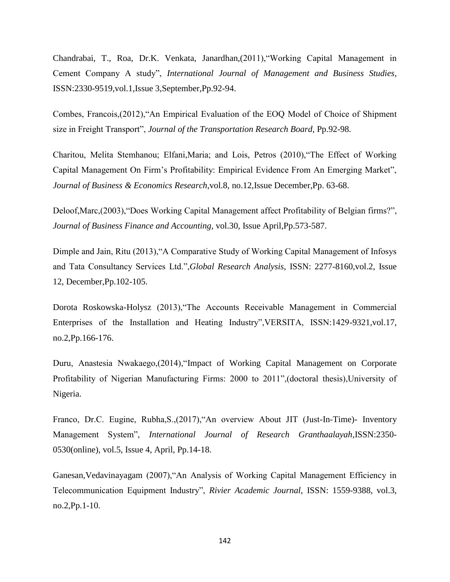Chandrabai, T., Roa, Dr.K. Venkata, Janardhan,(2011),"Working Capital Management in Cement Company A study", *International Journal of Management and Business Studies*, ISSN:2330-9519,vol.1,Issue 3,September,Pp.92-94.

Combes, Francois,(2012),"An Empirical Evaluation of the EOQ Model of Choice of Shipment size in Freight Transport", *Journal of the Transportation Research Board*, Pp.92-98.

Charitou, Melita Stemhanou; Elfani,Maria; and Lois, Petros (2010),"The Effect of Working Capital Management On Firm's Profitability: Empirical Evidence From An Emerging Market", *Journal of Business & Economics Research*,vol.8, no.12,Issue December,Pp. 63-68.

Deloof,Marc,(2003),"Does Working Capital Management affect Profitability of Belgian firms?", *Journal of Business Finance and Accounting*, vol.30, Issue April,Pp.573-587.

Dimple and Jain, Ritu (2013),"A Comparative Study of Working Capital Management of Infosys and Tata Consultancy Services Ltd.",*Global Research Analysis*, ISSN: 2277-8160,vol.2, Issue 12, December,Pp.102-105.

Dorota Roskowska-Holysz (2013),"The Accounts Receivable Management in Commercial Enterprises of the Installation and Heating Industry",VERSITA, ISSN:1429-9321,vol.17, no.2,Pp.166-176.

Duru, Anastesia Nwakaego,(2014),"Impact of Working Capital Management on Corporate Profitability of Nigerian Manufacturing Firms: 2000 to 2011",(doctoral thesis),University of Nigeria.

Franco, Dr.C. Eugine, Rubha,S.,(2017),"An overview About JIT (Just-In-Time)- Inventory Management System", *International Journal of Research Granthaalayah*,ISSN:2350- 0530(online), vol.5, Issue 4, April, Pp.14-18.

Ganesan,Vedavinayagam (2007),"An Analysis of Working Capital Management Efficiency in Telecommunication Equipment Industry", *Rivier Academic Journal*, ISSN: 1559-9388, vol.3, no.2,Pp.1-10.

142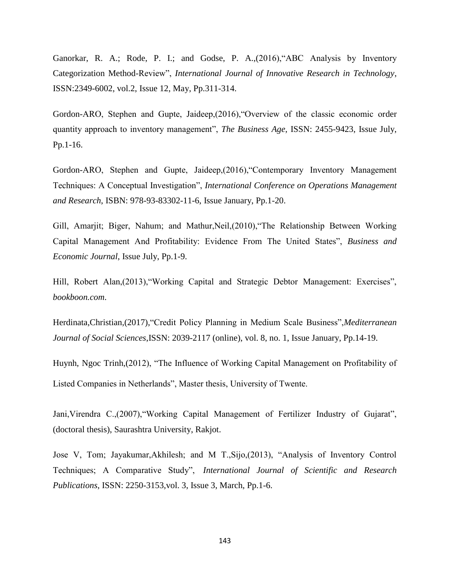Ganorkar, R. A.; Rode, P. I.; and Godse, P. A.,(2016),"ABC Analysis by Inventory Categorization Method-Review", *International Journal of Innovative Research in Technology*, ISSN:2349-6002, vol.2, Issue 12, May, Pp.311-314.

Gordon-ARO, Stephen and Gupte, Jaideep,(2016),"Overview of the classic economic order quantity approach to inventory management", *The Business Age*, ISSN: 2455-9423, Issue July, Pp.1-16.

Gordon-ARO, Stephen and Gupte, Jaideep,(2016),"Contemporary Inventory Management Techniques: A Conceptual Investigation", *International Conference on Operations Management and Research*, ISBN: 978-93-83302-11-6, Issue January, Pp.1-20.

Gill, Amarjit; Biger, Nahum; and Mathur,Neil,(2010),"The Relationship Between Working Capital Management And Profitability: Evidence From The United States", *Business and Economic Journal*, Issue July, Pp.1-9.

Hill, Robert Alan, (2013), "Working Capital and Strategic Debtor Management: Exercises", *bookboon.com*.

Herdinata,Christian,(2017),"Credit Policy Planning in Medium Scale Business",*Mediterranean Journal of Social Sciences*,ISSN: 2039-2117 (online), vol. 8, no. 1, Issue January, Pp.14-19.

Huynh, Ngoc Trinh,(2012), "The Influence of Working Capital Management on Profitability of Listed Companies in Netherlands", Master thesis, University of Twente.

Jani,Virendra C.,(2007),"Working Capital Management of Fertilizer Industry of Gujarat", (doctoral thesis), Saurashtra University, Rakjot.

Jose V, Tom; Jayakumar,Akhilesh; and M T.,Sijo,(2013), "Analysis of Inventory Control Techniques; A Comparative Study", *International Journal of Scientific and Research Publications*, ISSN: 2250-3153,vol. 3, Issue 3, March, Pp.1-6.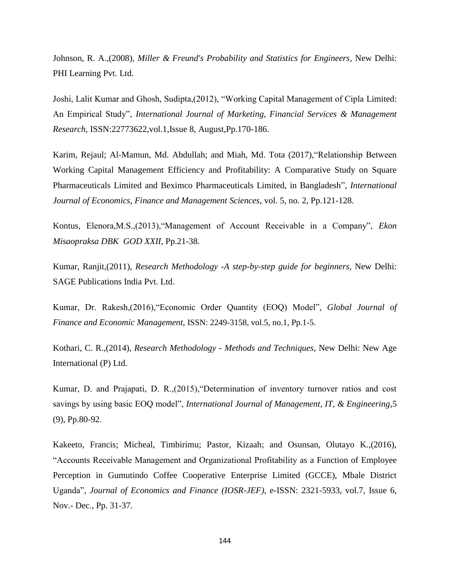Johnson, R. A.,(2008), *Miller & Freund's Probability and Statistics for Engineers*, New Delhi: PHI Learning Pvt. Ltd.

Joshi, Lalit Kumar and Ghosh, Sudipta,(2012), "Working Capital Management of Cipla Limited: An Empirical Study", *International Journal of Marketing, Financial Services & Management Research*, ISSN:22773622,vol.1,Issue 8, August,Pp.170-186.

Karim, Rejaul; Al-Mamun, Md. Abdullah; and Miah, Md. Tota (2017),"Relationship Between Working Capital Management Efficiency and Profitability: A Comparative Study on Square Pharmaceuticals Limited and Beximco Pharmaceuticals Limited, in Bangladesh", *International Journal of Economics, Finance and Management Sciences*, vol. 5, no. 2, Pp.121-128.

Kontus, Elenora,M.S.,(2013),"Management of Account Receivable in a Company", *Ekon Misaopraksa DBK GOD XXII*, Pp.21-38.

Kumar, Ranjit,(2011), *Research Methodology* -*A step-by-step guide for beginners*, New Delhi: SAGE Publications India Pvt. Ltd.

Kumar, Dr. Rakesh,(2016),"Economic Order Quantity (EOQ) Model", *Global Journal of Finance and Economic Management*, ISSN: 2249-3158, vol.5, no.1, Pp.1-5.

Kothari, C. R.,(2014), *Research Methodology - Methods and Techniques,* New Delhi: New Age International (P) Ltd.

Kumar, D. and Prajapati, D. R.,(2015),"Determination of inventory turnover ratios and cost savings by using basic EOQ model", *International Journal of Management, IT, & Engineering*,5 (9), Pp.80-92.

Kakeeto, Francis; Micheal, Timbirimu; Pastor, Kizaah; and Osunsan, Olutayo K.,(2016), "Accounts Receivable Management and Organizational Profitability as a Function of Employee Perception in Gumutindo Coffee Cooperative Enterprise Limited (GCCE), Mbale District Uganda", *Journal of Economics and Finance (IOSR-JEF)*, e-ISSN: 2321-5933, vol.7, Issue 6, Nov.- Dec., Pp. 31-37.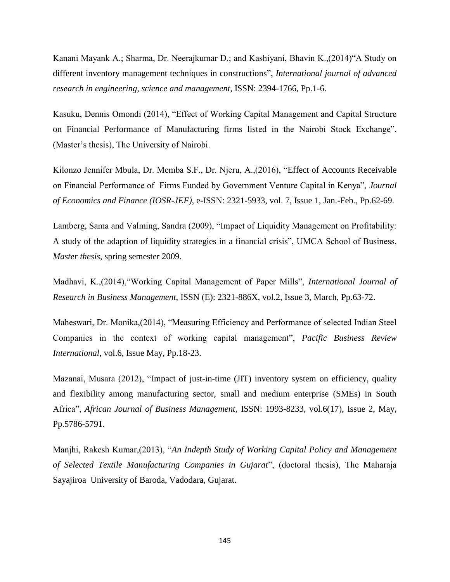Kanani Mayank A.; Sharma, Dr. Neerajkumar D.; and Kashiyani, Bhavin K.,(2014)"A Study on different inventory management techniques in constructions", *International journal of advanced research in engineering, science and management*, ISSN: 2394-1766, Pp.1-6.

Kasuku, Dennis Omondi (2014), "Effect of Working Capital Management and Capital Structure on Financial Performance of Manufacturing firms listed in the Nairobi Stock Exchange", (Master's thesis), The University of Nairobi.

Kilonzo Jennifer Mbula, Dr. Memba S.F., Dr. Njeru, A.,(2016), "Effect of Accounts Receivable on Financial Performance of Firms Funded by Government Venture Capital in Kenya", *Journal of Economics and Finance (IOSR-JEF)*, e-ISSN: 2321-5933, vol. 7, Issue 1, Jan.-Feb., Pp.62-69.

Lamberg, Sama and Valming, Sandra (2009), "Impact of Liquidity Management on Profitability: A study of the adaption of liquidity strategies in a financial crisis", UMCA School of Business, *Master thesis*, spring semester 2009.

Madhavi, K.,(2014),"Working Capital Management of Paper Mills", *International Journal of Research in Business Management*, ISSN (E): 2321-886X, vol.2, Issue 3, March, Pp.63-72.

Maheswari, Dr. Monika,(2014), "Measuring Efficiency and Performance of selected Indian Steel Companies in the context of working capital management", *Pacific Business Review International*, vol.6, Issue May, Pp.18-23.

Mazanai, Musara (2012), "Impact of just-in-time (JIT) inventory system on efficiency, quality and flexibility among manufacturing sector, small and medium enterprise (SMEs) in South Africa", *African Journal of Business Management*, ISSN: 1993-8233, vol.6(17), Issue 2, May, Pp.5786-5791.

Manjhi, Rakesh Kumar,(2013), "*An Indepth Study of Working Capital Policy and Management of Selected Textile Manufacturing Companies in Gujarat*", (doctoral thesis), The Maharaja Sayajiroa University of Baroda, Vadodara, Gujarat.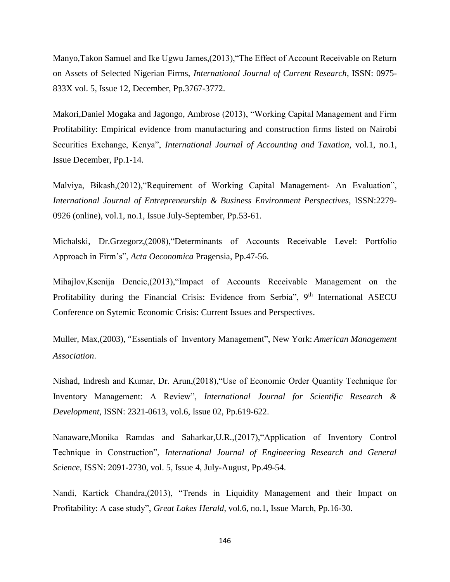Manyo,Takon Samuel and Ike Ugwu James,(2013),"The Effect of Account Receivable on Return on Assets of Selected Nigerian Firms, *International Journal of Current Research*, ISSN: 0975- 833X vol. 5, Issue 12, December, Pp.3767-3772.

Makori,Daniel Mogaka and Jagongo, Ambrose (2013), "Working Capital Management and Firm Profitability: Empirical evidence from manufacturing and construction firms listed on Nairobi Securities Exchange, Kenya", *International Journal of Accounting and Taxation*, vol.1, no.1, Issue December, Pp.1-14.

Malviya, Bikash,(2012),"Requirement of Working Capital Management- An Evaluation", *International Journal of Entrepreneurship & Business Environment Perspectives*, ISSN:2279- 0926 (online), vol.1, no.1, Issue July-September, Pp.53-61.

Michalski, Dr.Grzegorz,(2008),"Determinants of Accounts Receivable Level: Portfolio Approach in Firm's", *Acta Oeconomica* Pragensia, Pp.47-56.

Mihajlov,Ksenija Dencic,(2013),"Impact of Accounts Receivable Management on the Profitability during the Financial Crisis: Evidence from Serbia", 9<sup>th</sup> International ASECU Conference on Sytemic Economic Crisis: Current Issues and Perspectives.

Muller, Max,(2003), "Essentials of Inventory Management", New York: *American Management Association*.

Nishad, Indresh and Kumar, Dr. Arun,(2018),"Use of Economic Order Quantity Technique for Inventory Management: A Review", *International Journal for Scientific Research & Development*, ISSN: 2321-0613, vol.6, Issue 02, Pp.619-622.

Nanaware,Monika Ramdas and Saharkar,U.R.,(2017),"Application of Inventory Control Technique in Construction", *International Journal of Engineering Research and General Science*, ISSN: 2091-2730, vol. 5, Issue 4, July-August, Pp.49-54.

Nandi, Kartick Chandra,(2013), "Trends in Liquidity Management and their Impact on Profitability: A case study", *Great Lakes Herald*, vol.6, no.1, Issue March, Pp.16-30.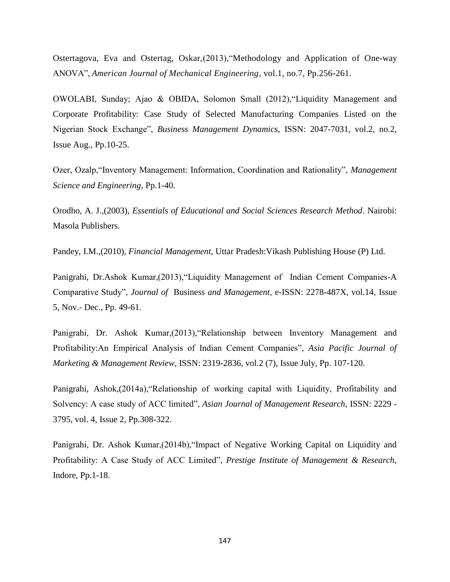Ostertagova, Eva and Ostertag, Oskar,(2013),"Methodology and Application of One-way ANOVA", *American Journal of Mechanical Engineering*, vol.1, no.7, Pp.256-261.

OWOLABI, Sunday; Ajao & OBIDA, Solomon Small (2012),"Liquidity Management and Corporate Profitability: Case Study of Selected Manufacturing Companies Listed on the Nigerian Stock Exchange", *Business Management Dynamics*, ISSN: 2047-7031, vol.2, no.2, Issue Aug., Pp.10-25.

Ozer, Ozalp,"Inventory Management: Information, Coordination and Rationality", *Management Science and Engineering*, Pp.1-40.

Orodho, A. J.,(2003), *Essentials of Educational and Social Sciences Research Method*. Nairobi: Masola Publishers.

Pandey, I.M.,(2010), *Financial Management*, Uttar Pradesh:Vikash Publishing House (P) Ltd.

Panigrahi, Dr.Ashok Kumar,(2013),"Liquidity Management of Indian Cement Companies-A Comparative Study", *Journal of* Business *and Management*, e-ISSN: 2278-487X, vol.14, Issue 5, Nov.- Dec., Pp. 49-61.

Panigrahi, Dr. Ashok Kumar,(2013),"Relationship between Inventory Management and Profitability:An Empirical Analysis of Indian Cement Companies", *Asia Pacific Journal of Marketing & Management Review*, ISSN: 2319-2836, vol.2 (7), Issue July, Pp. 107-120.

Panigrahi, Ashok,(2014a),"Relationship of working capital with Liquidity, Profitability and Solvency: A case study of ACC limited", *Asian Journal of Management Research*, ISSN: 2229 - 3795, vol. 4, Issue 2, Pp.308-322.

Panigrahi, Dr. Ashok Kumar,(2014b),"Impact of Negative Working Capital on Liquidity and Profitability: A Case Study of ACC Limited", *Prestige Institute of Management & Research*, Indore, Pp.1-18.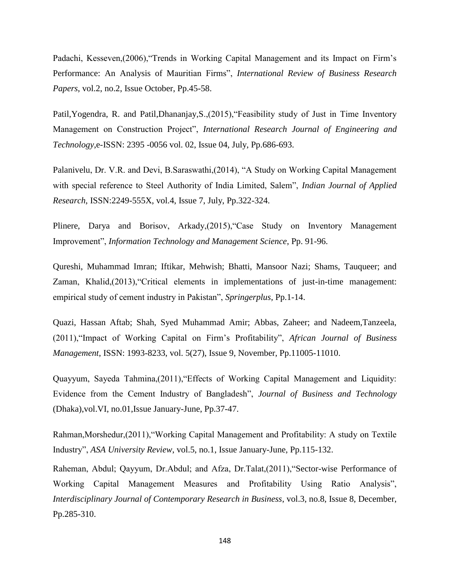Padachi, Kesseven,(2006),"Trends in Working Capital Management and its Impact on Firm's Performance: An Analysis of Mauritian Firms", *International Review of Business Research Papers*, vol.2, no.2, Issue October, Pp.45-58.

Patil, Yogendra, R. and Patil, Dhananjay, S., (2015), "Feasibility study of Just in Time Inventory Management on Construction Project", *International Research Journal of Engineering and Technology*,e-ISSN: 2395 -0056 vol. 02, Issue 04, July, Pp.686-693.

Palanivelu, Dr. V.R. and Devi, B.Saraswathi,(2014), "A Study on Working Capital Management with special reference to Steel Authority of India Limited, Salem", *Indian Journal of Applied Research*, ISSN:2249-555X, vol.4, Issue 7, July, Pp.322-324.

Plinere, Darya and Borisov, Arkady,(2015),"Case Study on Inventory Management Improvement", *Information Technology and Management Science*, Pp. 91-96.

Qureshi, Muhammad Imran; Iftikar, Mehwish; Bhatti, Mansoor Nazi; Shams, Tauqueer; and Zaman, Khalid,(2013),"Critical elements in implementations of just-in-time management: empirical study of cement industry in Pakistan", *Springerplus*, Pp.1-14.

Quazi, Hassan Aftab; Shah, Syed Muhammad Amir; Abbas, Zaheer; and Nadeem,Tanzeela, (2011),"Impact of Working Capital on Firm's Profitability", *African Journal of Business Management*, ISSN: 1993-8233, vol. 5(27), Issue 9, November, Pp.11005-11010.

Quayyum, Sayeda Tahmina,(2011),"Effects of Working Capital Management and Liquidity: Evidence from the Cement Industry of Bangladesh", *Journal of Business and Technology*  (Dhaka),vol.VI, no.01,Issue January-June, Pp.37-47.

Rahman,Morshedur,(2011),"Working Capital Management and Profitability: A study on Textile Industry", *ASA University Review*, vol.5, no.1, Issue January-June, Pp.115-132.

Raheman, Abdul; Qayyum, Dr.Abdul; and Afza, Dr.Talat,(2011),"Sector-wise Performance of Working Capital Management Measures and Profitability Using Ratio Analysis", *Interdisciplinary Journal of Contemporary Research in Business*, vol.3, no.8, Issue 8, December, Pp.285-310.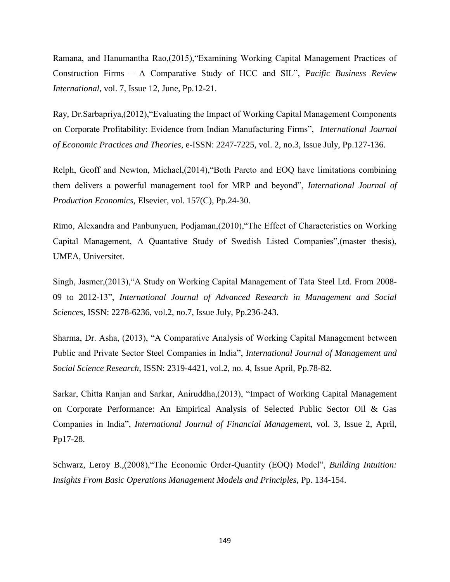Ramana, and Hanumantha Rao,(2015),"Examining Working Capital Management Practices of Construction Firms – A Comparative Study of HCC and SIL", *Pacific Business Review International*, vol. 7, Issue 12, June, Pp.12-21.

Ray, Dr.Sarbapriya,(2012),"Evaluating the Impact of Working Capital Management Components on Corporate Profitability: Evidence from Indian Manufacturing Firms", *International Journal of Economic Practices and Theories*, e-ISSN: 2247-7225, vol. 2, no.3, Issue July, Pp.127-136.

Relph, Geoff and Newton, Michael,(2014),"Both Pareto and EOQ have limitations combining them delivers a powerful management tool for MRP and beyond", *International Journal of Production Economics*, Elsevier, vol. 157(C), Pp.24-30.

Rimo, Alexandra and Panbunyuen, Podjaman,(2010),"The Effect of Characteristics on Working Capital Management, A Quantative Study of Swedish Listed Companies",(master thesis), UMEA, Universitet.

Singh, Jasmer,(2013),"A Study on Working Capital Management of Tata Steel Ltd. From 2008- 09 to 2012-13", *International Journal of Advanced Research in Management and Social Sciences*, ISSN: 2278-6236, vol.2, no.7, Issue July, Pp.236-243.

Sharma, Dr. Asha, (2013), "A Comparative Analysis of Working Capital Management between Public and Private Sector Steel Companies in India", *International Journal of Management and Social Science Research*, ISSN: 2319-4421, vol.2, no. 4, Issue April, Pp.78-82.

Sarkar, Chitta Ranjan and Sarkar, Aniruddha,(2013), "Impact of Working Capital Management on Corporate Performance: An Empirical Analysis of Selected Public Sector Oil & Gas Companies in India", *International Journal of Financial Managemen*t, vol. 3, Issue 2, April, Pp17-28.

Schwarz, Leroy B.,(2008),"The Economic Order-Quantity (EOQ) Model", *Building Intuition: Insights From Basic Operations Management Models and Principles*, Pp. 134-154.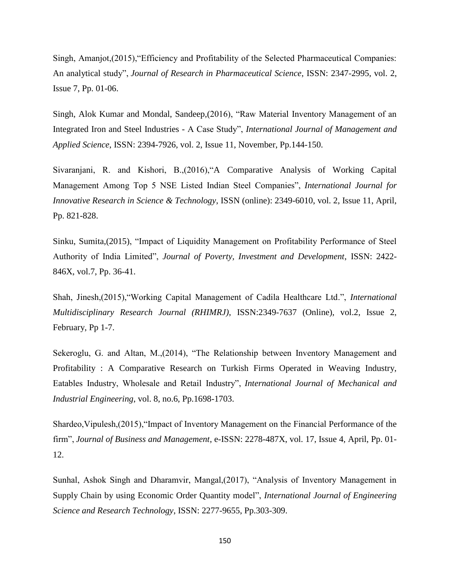Singh, Amanjot,(2015),"Efficiency and Profitability of the Selected Pharmaceutical Companies: An analytical study", *Journal of Research in Pharmaceutical Science*, ISSN: 2347-2995, vol. 2, Issue 7, Pp. 01-06.

Singh, Alok Kumar and Mondal, Sandeep,(2016), "Raw Material Inventory Management of an Integrated Iron and Steel Industries - A Case Study", *International Journal of Management and Applied Science*, ISSN: 2394-7926, vol. 2, Issue 11, November, Pp.144-150.

Sivaranjani, R. and Kishori, B.,(2016),"A Comparative Analysis of Working Capital Management Among Top 5 NSE Listed Indian Steel Companies", *International Journal for Innovative Research in Science & Technology*, ISSN (online): 2349-6010, vol. 2, Issue 11, April, Pp. 821-828.

Sinku, Sumita,(2015), "Impact of Liquidity Management on Profitability Performance of Steel Authority of India Limited", *Journal of Poverty, Investment and Development*, ISSN: 2422- 846X, vol.7, Pp. 36-41.

Shah, Jinesh,(2015),"Working Capital Management of Cadila Healthcare Ltd.", *International Multidisciplinary Research Journal (RHIMRJ)*, ISSN:2349-7637 (Online), vol.2, Issue 2, February, Pp 1-7.

Sekeroglu, G. and Altan, M.,(2014), "The Relationship between Inventory Management and Profitability : A Comparative Research on Turkish Firms Operated in Weaving Industry, Eatables Industry, Wholesale and Retail Industry", *International Journal of Mechanical and Industrial Engineering*, vol. 8, no.6, Pp.1698-1703.

Shardeo,Vipulesh,(2015),"Impact of Inventory Management on the Financial Performance of the firm", *Journal of Business and Management*, e-ISSN: 2278-487X, vol. 17, Issue 4, April, Pp. 01- 12.

Sunhal, Ashok Singh and Dharamvir, Mangal,(2017), "Analysis of Inventory Management in Supply Chain by using Economic Order Quantity model", *International Journal of Engineering Science and Research Technology*, ISSN: 2277-9655, Pp.303-309.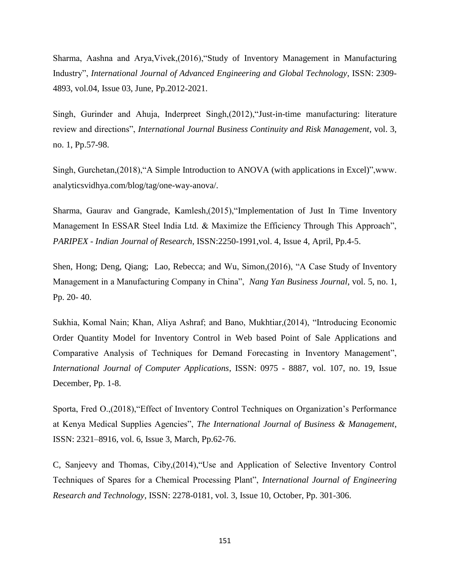Sharma, Aashna and Arya,Vivek,(2016),"Study of Inventory Management in Manufacturing Industry", *International Journal of Advanced Engineering and Global Technology*, ISSN: 2309- 4893, vol.04, Issue 03, June, Pp.2012-2021.

Singh, Gurinder and Ahuja, Inderpreet Singh,(2012),"Just-in-time manufacturing: literature review and directions", *International Journal Business Continuity and Risk Management*, vol. 3, no. 1, Pp.57-98.

Singh, Gurchetan,(2018),"A Simple [Introduction](https://www.analyticsvidhya.com/blog/2018/01/anova-analysis-of-variance/) to ANOVA (with applications in Excel)",www. analyticsvidhya.com/blog/tag/one-way-anova/.

Sharma, Gaurav and Gangrade, Kamlesh,(2015),"Implementation of Just In Time Inventory Management In ESSAR Steel India Ltd. & Maximize the Efficiency Through This Approach", *PARIPEX - Indian Journal of Research*, ISSN:2250-1991,vol. 4, Issue 4, April, Pp.4-5.

Shen, Hong; Deng, Qiang; Lao, Rebecca; and Wu, Simon,(2016), "A Case Study of Inventory Management in a Manufacturing Company in China", *Nang Yan Business Journal*, vol. 5, no. 1, Pp. 20- 40.

Sukhia, Komal Nain; Khan, Aliya Ashraf; and Bano, Mukhtiar,(2014), "Introducing Economic Order Quantity Model for Inventory Control in Web based Point of Sale Applications and Comparative Analysis of Techniques for Demand Forecasting in Inventory Management", *International Journal of Computer Applications*, ISSN: 0975 - 8887, vol. 107, no. 19, Issue December, Pp. 1-8.

Sporta, Fred O.,(2018),"Effect of Inventory Control Techniques on Organization's Performance at Kenya Medical Supplies Agencies", *The International Journal of Business & Management*, ISSN: 2321–8916, vol. 6, Issue 3, March, Pp.62-76.

C, Sanjeevy and Thomas, Ciby,(2014),"Use and Application of Selective Inventory Control Techniques of Spares for a Chemical Processing Plant", *International Journal of Engineering Research and Technology*, ISSN: 2278-0181, vol. 3, Issue 10, October, Pp. 301-306.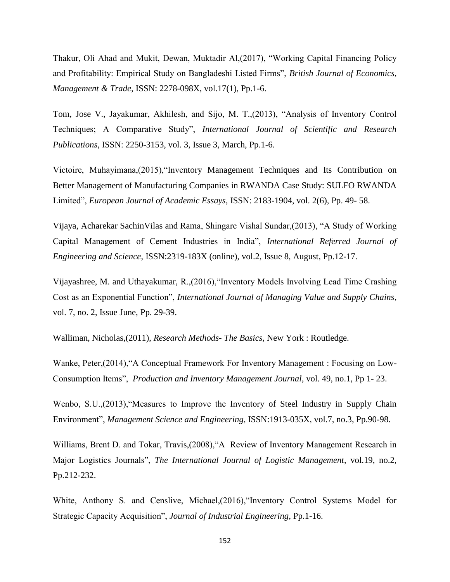Thakur, Oli Ahad and Mukit, Dewan, Muktadir Al,(2017), "Working Capital Financing Policy and Profitability: Empirical Study on Bangladeshi Listed Firms", *British Journal of Economics, Management & Trade*, ISSN: 2278-098X, vol.17(1), Pp.1-6.

Tom, Jose V., Jayakumar, Akhilesh, and Sijo, M. T.,(2013), "Analysis of Inventory Control Techniques; A Comparative Study", *International Journal of Scientific and Research Publications*, ISSN: 2250-3153, vol. 3, Issue 3, March, Pp.1-6.

Victoire, Muhayimana,(2015),"Inventory Management Techniques and Its Contribution on Better Management of Manufacturing Companies in RWANDA Case Study: SULFO RWANDA Limited", *European Journal of Academic Essays*, ISSN: 2183-1904, vol. 2(6), Pp. 49- 58.

Vijaya, Acharekar SachinVilas and Rama, Shingare Vishal Sundar,(2013), "A Study of Working Capital Management of Cement Industries in India", *International Referred Journal of Engineering and Science*, ISSN:2319-183X (online), vol.2, Issue 8, August, Pp.12-17.

Vijayashree, M. and Uthayakumar, R.,(2016),"Inventory Models Involving Lead Time Crashing Cost as an Exponential Function", *International Journal of Managing Value and Supply Chains*, vol. 7, no. 2, Issue June, Pp. 29-39.

Walliman, Nicholas,(2011), *Research Methods- The Basics,* New York : Routledge.

Wanke, Peter,(2014),"A Conceptual Framework For Inventory Management : Focusing on Low-Consumption Items", *Production and Inventory Management Journal*, vol. 49, no.1, Pp 1- 23.

Wenbo, S.U.,(2013),"Measures to Improve the Inventory of Steel Industry in Supply Chain Environment", *Management Science and Engineering*, ISSN:1913-035X, vol.7, no.3, Pp.90-98.

Williams, Brent D. and Tokar, Travis,(2008),"A Review of Inventory Management Research in Major Logistics Journals", *The International Journal of Logistic Management*, vol.19, no.2, Pp.212-232.

White, Anthony S. and Censlive, Michael,(2016),"Inventory Control Systems Model for Strategic Capacity Acquisition", *Journal of Industrial Engineering*, Pp.1-16.